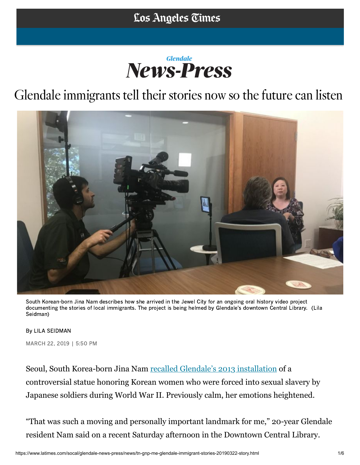## **News-Press**

## Glendale immigrants tell their stories now so the future can listen



South Korean-born Jina Nam describes how she arrived in the Jewel City for an ongoing oral history video project documenting the stories of local immigrants. The project is being helmed by Glendale's downtown Central Library. (Lila Seidman)

By LILA SEIDMAN

[MARC](https://www.facebook.com/dialog/share?app_id=119932621434123&display=popup&href=https%3A%2F%2Fwww.latimes.com%2Fsocal%2Fglendale-news-press%2Fnews%2Ftn-gnp-me-glendale-immigrant-stories-20190322-story.html)[H 22,](https://twitter.com/intent/tweet?url=https%3A%2F%2Fwww.latimes.com%2Fsocal%2Fglendale-news-press%2Fnews%2Ftn-gnp-me-glendale-immigrant-stories-20190322-story.html&text=Glendale%20immigrants%20tell%20their%20stories%20now%20so%20the%20future%20can%20listen) 2019 | 5:50 PM

Seoul, South Korea-born Jina Nam [recalled Glendale's 2013 installation](https://www.latimes.com/tn-gnp-glendale-officials-resolute-as-they-dedicate-controversial-comfort-women-memorial-20130730-story.html) of a controversial statue honoring Korean women who were forced into sexual slavery by Japanese soldiers during World War II. Previously calm, her emotions heightened.

"That was such a moving and personally important landmark for me," 20-year Glendale resident Nam said on a recent Saturday afternoon in the Downtown Central Library.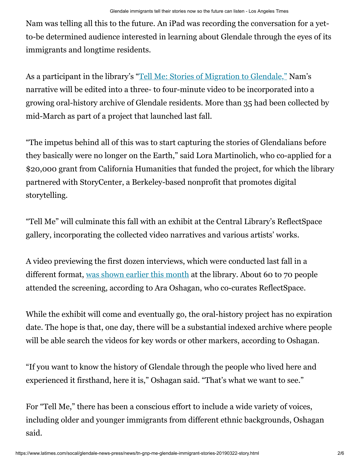Nam was telling all this to the future. An iPad was recording the conversation for a yetto-be determined audience interested in learning about Glendale through the eyes of its immigrants and longtime residents.

As a participant in the library's "[Tell Me: Stories of Migration to Glendale,"](https://www.latimes.com/socal/glendale-news-press/news/tn-gnp-me-tell-me-project-20190305-story.html) Nam's narrative will be edited into a three- to four-minute video to be incorporated into a growing oral-history archive of Glendale residents. More than 35 had been collected by mid-March as part of a project that launched last fall.

"The impetus behind all of this was to start capturing the stories of Glendalians before they basically were no longer on the Earth," said Lora Martinolich, who co-applied for a \$20,000 grant from California Humanities that funded the project, for which the library partnered with StoryCenter, a Berkeley-based nonprofit that promotes digital storytelling.

"Tell Me" will culminate this fall with an exhibit at the Central Library's ReflectSpace gallery, incorporating the collected video narratives and various artists' works.

A video previewing the first dozen interviews, which were conducted last fall in a different format, [was shown earlier this month](https://www.latimes.com/socal/glendale-news-press/news/tn-gnp-me-tell-me-project-20190305-story.html) at the library. About 60 to 70 people attended the screening, according to Ara Oshagan, who co-curates ReflectSpace.

While the exhibit will come and eventually go, the oral-history project has no expiration date. The hope is that, one day, there will be a substantial indexed archive where people will be able search the videos for key words or other markers, according to Oshagan.

"If you want to know the history of Glendale through the people who lived here and experienced it firsthand, here it is," Oshagan said. "That's what we want to see."

For "Tell Me," there has been a conscious effort to include a wide variety of voices, including older and younger immigrants from different ethnic backgrounds, Oshagan said.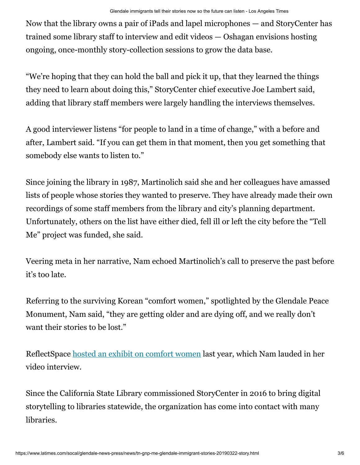Now that the library owns a pair of iPads and lapel microphones — and StoryCenter has trained some library staff to interview and edit videos — Oshagan envisions hosting ongoing, once-monthly story-collection sessions to grow the data base.

"We're hoping that they can hold the ball and pick it up, that they learned the things they need to learn about doing this," StoryCenter chief executive Joe Lambert said, adding that library staff members were largely handling the interviews themselves.

A good interviewer listens "for people to land in a time of change," with a before and after, Lambert said. "If you can get them in that moment, then you get something that somebody else wants to listen to."

Since joining the library in 1987, Martinolich said she and her colleagues have amassed lists of people whose stories they wanted to preserve. They have already made their own recordings of some staff members from the library and city's planning department. Unfortunately, others on the list have either died, fell ill or left the city before the "Tell Me" project was funded, she said.

Veering meta in her narrative, Nam echoed Martinolich's call to preserve the past before it's too late.

Referring to the surviving Korean "comfort women," spotlighted by the Glendale Peace Monument, Nam said, "they are getting older and are dying off, and we really don't want their stories to be lost."

ReflectSpace [hosted an exhibit on comfort women](https://www.latimes.com/socal/glendale-news-press/news/tn-gnp-me-korean-comfort-women-day-20180727-story.html) last year, which Nam lauded in her video interview.

Since the California State Library commissioned StoryCenter in 2016 to bring digital storytelling to libraries statewide, the organization has come into contact with many libraries.